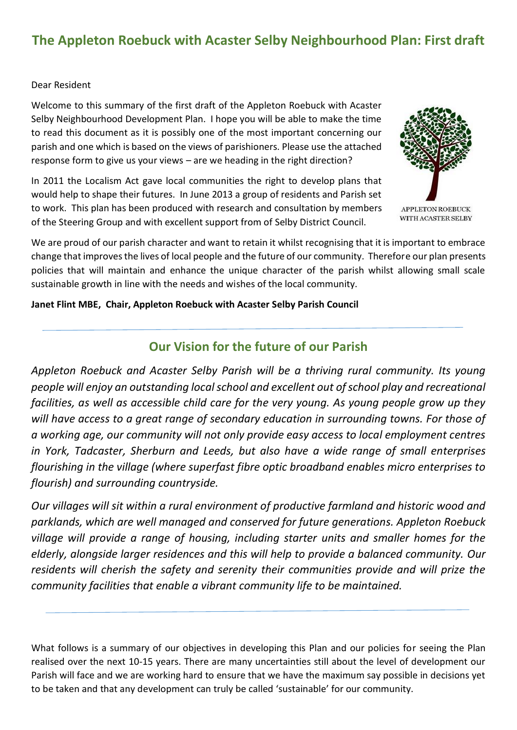# **The Appleton Roebuck with Acaster Selby Neighbourhood Plan: First draft**

## Dear Resident

Welcome to this summary of the first draft of the Appleton Roebuck with Acaster Selby Neighbourhood Development Plan. I hope you will be able to make the time to read this document as it is possibly one of the most important concerning our parish and one which is based on the views of parishioners. Please use the attached response form to give us your views – are we heading in the right direction?

In 2011 the Localism Act gave local communities the right to develop plans that would help to shape their futures. In June 2013 a group of residents and Parish set to work. This plan has been produced with research and consultation by members of the Steering Group and with excellent support from of Selby District Council.



**APPLETON ROEBUCK** WITH ACASTER SELBY

We are proud of our parish character and want to retain it whilst recognising that it is important to embrace change that improves the lives of local people and the future of our community. Therefore our plan presents policies that will maintain and enhance the unique character of the parish whilst allowing small scale sustainable growth in line with the needs and wishes of the local community.

**Janet Flint MBE, Chair, Appleton Roebuck with Acaster Selby Parish Council**

## **Our Vision for the future of our Parish**

*Appleton Roebuck and Acaster Selby Parish will be a thriving rural community. Its young people will enjoy an outstanding local school and excellent out of school play and recreational facilities, as well as accessible child care for the very young. As young people grow up they will have access to a great range of secondary education in surrounding towns. For those of a working age, our community will not only provide easy access to local employment centres in York, Tadcaster, Sherburn and Leeds, but also have a wide range of small enterprises flourishing in the village (where superfast fibre optic broadband enables micro enterprises to flourish) and surrounding countryside.*

*Our villages will sit within a rural environment of productive farmland and historic wood and parklands, which are well managed and conserved for future generations. Appleton Roebuck village will provide a range of housing, including starter units and smaller homes for the elderly, alongside larger residences and this will help to provide a balanced community. Our residents will cherish the safety and serenity their communities provide and will prize the community facilities that enable a vibrant community life to be maintained.*

What follows is a summary of our objectives in developing this Plan and our policies for seeing the Plan realised over the next 10-15 years. There are many uncertainties still about the level of development our Parish will face and we are working hard to ensure that we have the maximum say possible in decisions yet to be taken and that any development can truly be called 'sustainable' for our community.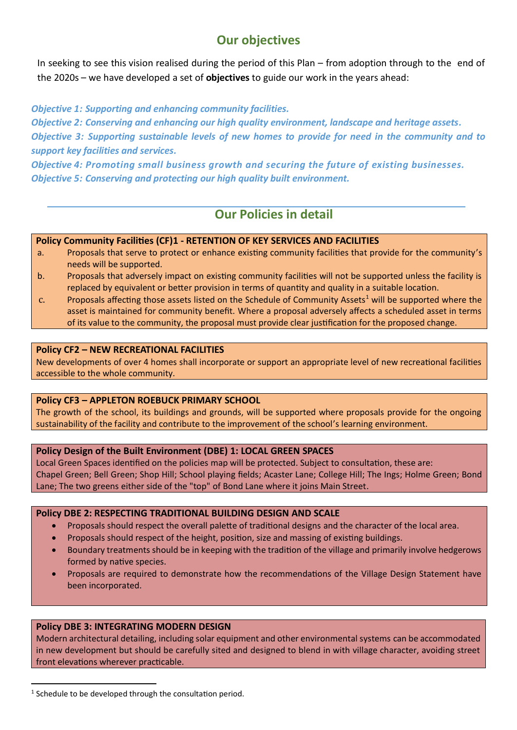# **Our objectives**

In seeking to see this vision realised during the period of this Plan – from adoption through to the end of the 2020s – we have developed a set of **objectives** to guide our work in the years ahead:

## *Objective 1: Supporting and enhancing community facilities.*

*Objective 2: Conserving and enhancing our high quality environment, landscape and heritage assets. Objective 3: Supporting sustainable levels of new homes to provide for need in the community and to support key facilities and services.*

*Objective 4: Promoting small business growth and securing the future of existing businesses. Objective 5: Conserving and protecting our high quality built environment.*

## **Our Policies in detail**

## **Policy Community Facilities (CF)1 - RETENTION OF KEY SERVICES AND FACILITIES**

- a. Proposals that serve to protect or enhance existing community facilities that provide for the community's needs will be supported.
- b. Proposals that adversely impact on existing community facilities will not be supported unless the facility is replaced by equivalent or better provision in terms of quantity and quality in a suitable location.
- c. Proposals affecting those assets listed on the Schedule of Community Assets<sup>1</sup> will be supported where the asset is maintained for community benefit. Where a proposal adversely affects a scheduled asset in terms of its value to the community, the proposal must provide clear justification for the proposed change.

#### **Policy CF2 – NEW RECREATIONAL FACILITIES**

New developments of over 4 homes shall incorporate or support an appropriate level of new recreational facilities accessible to the whole community.

## **Policy CF3 – APPLETON ROEBUCK PRIMARY SCHOOL**

The growth of the school, its buildings and grounds, will be supported where proposals provide for the ongoing sustainability of the facility and contribute to the improvement of the school's learning environment.

#### **Policy Design of the Built Environment (DBE) 1: LOCAL GREEN SPACES**

Local Green Spaces identified on the policies map will be protected. Subject to consultation, these are: Chapel Green; Bell Green; Shop Hill; School playing fields; Acaster Lane; College Hill; The Ings; Holme Green; Bond Lane; The two greens either side of the "top" of Bond Lane where it joins Main Street.

#### **Policy DBE 2: RESPECTING TRADITIONAL BUILDING DESIGN AND SCALE**

- Proposals should respect the overall palette of traditional designs and the character of the local area.
- Proposals should respect of the height, position, size and massing of existing buildings.
- Boundary treatments should be in keeping with the tradition of the village and primarily involve hedgerows formed by native species.
- Proposals are required to demonstrate how the recommendations of the Village Design Statement have been incorporated.

## **Policy DBE 3: INTEGRATING MODERN DESIGN**

Modern architectural detailing, including solar equipment and other environmental systems can be accommodated in new development but should be carefully sited and designed to blend in with village character, avoiding street front elevations wherever practicable.

1

 $1$  Schedule to be developed through the consultation period.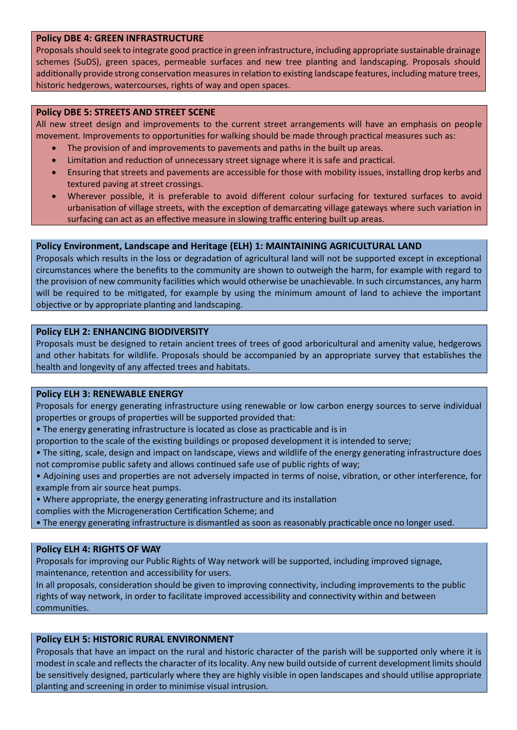#### **Policy DBE 4: GREEN INFRASTRUCTURE**

Proposals should seek to integrate good practice in green infrastructure, including appropriate sustainable drainage schemes (SuDS), green spaces, permeable surfaces and new tree planting and landscaping. Proposals should additionally provide strong conservation measures in relation to existing landscape features, including mature trees, historic hedgerows, watercourses, rights of way and open spaces.

#### **Policy DBE 5: STREETS AND STREET SCENE**

All new street design and improvements to the current street arrangements will have an emphasis on people movement. Improvements to opportunities for walking should be made through practical measures such as:

- The provision of and improvements to pavements and paths in the built up areas.
- Limitation and reduction of unnecessary street signage where it is safe and practical.
- Ensuring that streets and pavements are accessible for those with mobility issues, installing drop kerbs and textured paving at street crossings.
- Wherever possible, it is preferable to avoid different colour surfacing for textured surfaces to avoid urbanisation of village streets, with the exception of demarcating village gateways where such variation in surfacing can act as an effective measure in slowing traffic entering built up areas.

## **Policy Environment, Landscape and Heritage (ELH) 1: MAINTAINING AGRICULTURAL LAND**

Proposals which results in the loss or degradation of agricultural land will not be supported except in exceptional circumstances where the benefits to the community are shown to outweigh the harm, for example with regard to the provision of new community facilities which would otherwise be unachievable. In such circumstances, any harm will be required to be mitigated, for example by using the minimum amount of land to achieve the important objective or by appropriate planting and landscaping.

#### **Policy ELH 2: ENHANCING BIODIVERSITY**

Proposals must be designed to retain ancient trees of trees of good arboricultural and amenity value, hedgerows and other habitats for wildlife. Proposals should be accompanied by an appropriate survey that establishes the health and longevity of any affected trees and habitats.

#### **Policy ELH 3: RENEWABLE ENERGY**

Proposals for energy generating infrastructure using renewable or low carbon energy sources to serve individual properties or groups of properties will be supported provided that:

- The energy generating infrastructure is located as close as practicable and is in
- proportion to the scale of the existing buildings or proposed development it is intended to serve;
- The siting, scale, design and impact on landscape, views and wildlife of the energy generating infrastructure does not compromise public safety and allows continued safe use of public rights of way;
- Adjoining uses and properties are not adversely impacted in terms of noise, vibration, or other interference, for example from air source heat pumps.
- Where appropriate, the energy generating infrastructure and its installation
- complies with the Microgeneration Certification Scheme; and
- The energy generating infrastructure is dismantled as soon as reasonably practicable once no longer used.

## **Policy ELH 4: RIGHTS OF WAY**

Proposals for improving our Public Rights of Way network will be supported, including improved signage, maintenance, retention and accessibility for users.

In all proposals, consideration should be given to improving connectivity, including improvements to the public rights of way network, in order to facilitate improved accessibility and connectivity within and between communities.

## **Policy ELH 5: HISTORIC RURAL ENVIRONMENT**

Proposals that have an impact on the rural and historic character of the parish will be supported only where it is modest in scale and reflects the character of its locality. Any new build outside of current development limits should be sensitively designed, particularly where they are highly visible in open landscapes and should utilise appropriate planting and screening in order to minimise visual intrusion.